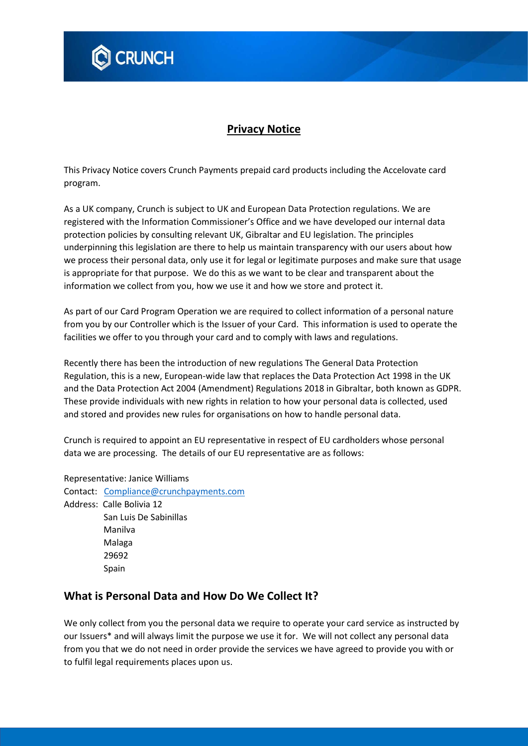

# **Privacy Notice**

This Privacy Notice covers Crunch Payments prepaid card products including the Accelovate card program.

As a UK company, Crunch is subject to UK and European Data Protection regulations. We are registered with the Information Commissioner's Office and we have developed our internal data protection policies by consulting relevant UK, Gibraltar and EU legislation. The principles underpinning this legislation are there to help us maintain transparency with our users about how we process their personal data, only use it for legal or legitimate purposes and make sure that usage is appropriate for that purpose. We do this as we want to be clear and transparent about the information we collect from you, how we use it and how we store and protect it.

As part of our Card Program Operation we are required to collect information of a personal nature from you by our Controller which is the Issuer of your Card. This information is used to operate the facilities we offer to you through your card and to comply with laws and regulations.

Recently there has been the introduction of new regulations The General Data Protection Regulation, this is a new, European-wide law that replaces the Data Protection Act 1998 in the UK and the Data Protection Act 2004 (Amendment) Regulations 2018 in Gibraltar, both known as GDPR. These provide individuals with new rights in relation to how your personal data is collected, used and stored and provides new rules for organisations on how to handle personal data.

Crunch is required to appoint an EU representative in respect of EU cardholders whose personal data we are processing. The details of our EU representative are as follows:

Representative: Janice Williams

Contact: [Compliance@crunchpayments.com](mailto:Compliance@crunchpayments.com) Address: Calle Bolivia 12 San Luis De Sabinillas Manilva Malaga 29692 **Spain** 

## **What is Personal Data and How Do We Collect It?**

We only collect from you the personal data we require to operate your card service as instructed by our Issuers\* and will always limit the purpose we use it for. We will not collect any personal data from you that we do not need in order provide the services we have agreed to provide you with or to fulfil legal requirements places upon us.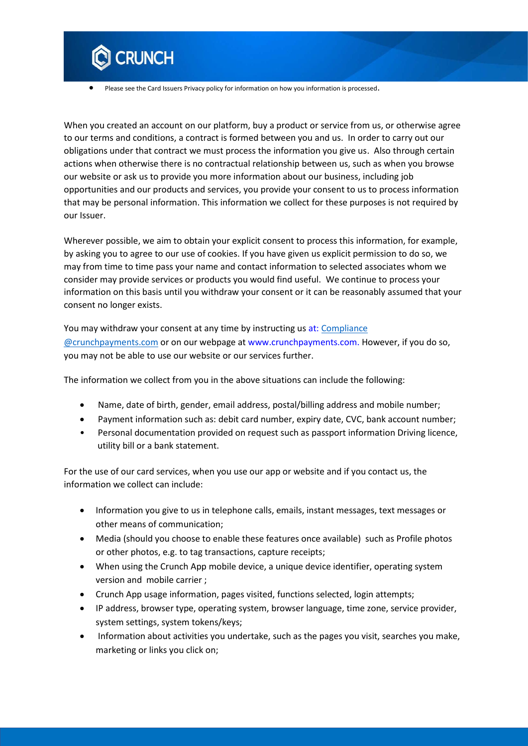

Please see the Card Issuers Privacy policy for information on how you information is processed.

When you created an account on our platform, buy a product or service from us, or otherwise agree to our terms and conditions, a contract is formed between you and us. In order to carry out our obligations under that contract we must process the information you give us. Also through certain actions when otherwise there is no contractual relationship between us, such as when you browse our website or ask us to provide you more information about our business, including job opportunities and our products and services, you provide your consent to us to process information that may be personal information. This information we collect for these purposes is not required by our Issuer.

Wherever possible, we aim to obtain your explicit consent to process this information, for example, by asking you to agree to our use of cookies. If you have given us explicit permission to do so, we may from time to time pass your name and contact information to selected associates whom we consider may provide services or products you would find useful. We continue to process your information on this basis until you withdraw your consent or it can be reasonably assumed that your consent no longer exists.

You may withdraw your consent at any time by instructing us at: [Compliance](http://Compliance%20@crunchpayments.com)  [@crunchpayments.com](http://Compliance%20@crunchpayments.com) or on our webpage at www.crunchpayments.com. However, if you do so, you may not be able to use our website or our services further.

The information we collect from you in the above situations can include the following:

- Name, date of birth, gender, email address, postal/billing address and mobile number;
- Payment information such as: debit card number, expiry date, CVC, bank account number;
- Personal documentation provided on request such as passport information Driving licence, utility bill or a bank statement.

For the use of our card services, when you use our app or website and if you contact us, the information we collect can include:

- Information you give to us in telephone calls, emails, instant messages, text messages or other means of communication;
- Media (should you choose to enable these features once available) such as Profile photos or other photos, e.g. to tag transactions, capture receipts;
- When using the Crunch App mobile device, a unique device identifier, operating system version and mobile carrier ;
- Crunch App usage information, pages visited, functions selected, login attempts;
- IP address, browser type, operating system, browser language, time zone, service provider, system settings, system tokens/keys;
- Information about activities you undertake, such as the pages you visit, searches you make, marketing or links you click on;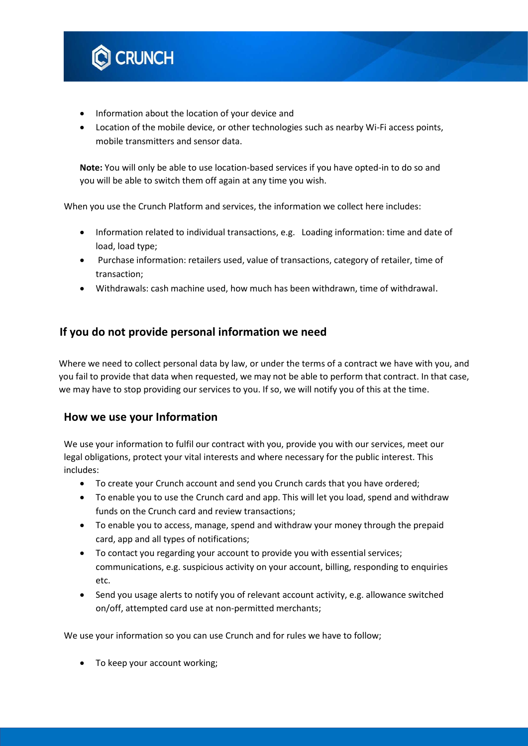

- Information about the location of your device and
- Location of the mobile device, or other technologies such as nearby Wi-Fi access points, mobile transmitters and sensor data.

**Note:** You will only be able to use location-based services if you have opted-in to do so and you will be able to switch them off again at any time you wish.

When you use the Crunch Platform and services, the information we collect here includes:

- Information related to individual transactions, e.g. Loading information: time and date of load, load type;
- Purchase information: retailers used, value of transactions, category of retailer, time of transaction;
- Withdrawals: cash machine used, how much has been withdrawn, time of withdrawal.

## **If you do not provide personal information we need**

Where we need to collect personal data by law, or under the terms of a contract we have with you, and you fail to provide that data when requested, we may not be able to perform that contract. In that case, we may have to stop providing our services to you. If so, we will notify you of this at the time.

#### **How we use your Information**

We use your information to fulfil our contract with you, provide you with our services, meet our legal obligations, protect your vital interests and where necessary for the public interest. This includes:

- To create your Crunch account and send you Crunch cards that you have ordered;
- To enable you to use the Crunch card and app. This will let you load, spend and withdraw funds on the Crunch card and review transactions;
- To enable you to access, manage, spend and withdraw your money through the prepaid card, app and all types of notifications;
- To contact you regarding your account to provide you with essential services; communications, e.g. suspicious activity on your account, billing, responding to enquiries etc.
- Send you usage alerts to notify you of relevant account activity, e.g. allowance switched on/off, attempted card use at non-permitted merchants;

We use your information so you can use Crunch and for rules we have to follow;

• To keep your account working;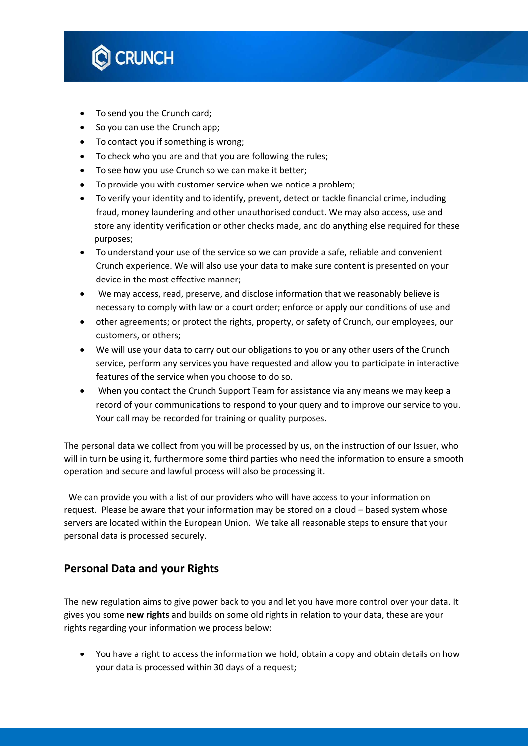

- To send you the Crunch card:
- So you can use the Crunch app;
- To contact you if something is wrong;
- To check who you are and that you are following the rules;
- To see how you use Crunch so we can make it better;
- To provide you with customer service when we notice a problem;
- To verify your identity and to identify, prevent, detect or tackle financial crime, including fraud, money laundering and other unauthorised conduct. We may also access, use and store any identity verification or other checks made, and do anything else required for these purposes;
- To understand your use of the service so we can provide a safe, reliable and convenient Crunch experience. We will also use your data to make sure content is presented on your device in the most effective manner;
- We may access, read, preserve, and disclose information that we reasonably believe is necessary to comply with law or a court order; enforce or apply our conditions of use and
- other agreements; or protect the rights, property, or safety of Crunch, our employees, our customers, or others;
- We will use your data to carry out our obligations to you or any other users of the Crunch service, perform any services you have requested and allow you to participate in interactive features of the service when you choose to do so.
- When you contact the Crunch Support Team for assistance via any means we may keep a record of your communications to respond to your query and to improve our service to you. Your call may be recorded for training or quality purposes.

The personal data we collect from you will be processed by us, on the instruction of our Issuer, who will in turn be using it, furthermore some third parties who need the information to ensure a smooth operation and secure and lawful process will also be processing it.

We can provide you with a list of our providers who will have access to your information on request. Please be aware that your information may be stored on a cloud – based system whose servers are located within the European Union. We take all reasonable steps to ensure that your personal data is processed securely.

## **Personal Data and your Rights**

The new regulation aims to give power back to you and let you have more control over your data. It gives you some **new rights** and builds on some old rights in relation to your data, these are your rights regarding your information we process below:

 You have a right to access the information we hold, obtain a copy and obtain details on how your data is processed within 30 days of a request;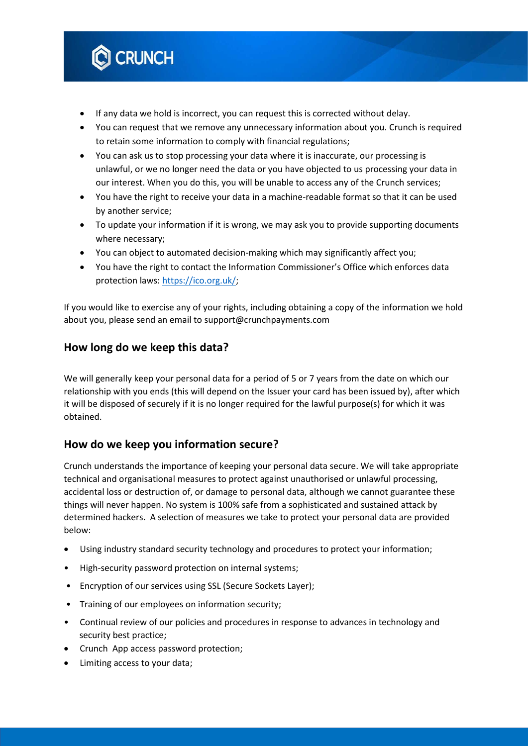

- If any data we hold is incorrect, you can request this is corrected without delay.
- You can request that we remove any unnecessary information about you. Crunch is required to retain some information to comply with financial regulations;
- You can ask us to stop processing your data where it is inaccurate, our processing is unlawful, or we no longer need the data or you have objected to us processing your data in our interest. When you do this, you will be unable to access any of the Crunch services;
- You have the right to receive your data in a machine-readable format so that it can be used by another service;
- To update your information if it is wrong, we may ask you to provide supporting documents where necessary;
- You can object to automated decision-making which may significantly affect you;
- You have the right to contact the Information Commissioner's Office which enforces data protection laws: [https://ico.org.uk/;](https://ico.org.uk/)

If you would like to exercise any of your rights, including obtaining a copy of the information we hold about you, please send an email to support@crunchpayments.com

## **How long do we keep this data?**

We will generally keep your personal data for a period of 5 or 7 years from the date on which our relationship with you ends (this will depend on the Issuer your card has been issued by), after which it will be disposed of securely if it is no longer required for the lawful purpose(s) for which it was obtained.

## **How do we keep you information secure?**

Crunch understands the importance of keeping your personal data secure. We will take appropriate technical and organisational measures to protect against unauthorised or unlawful processing, accidental loss or destruction of, or damage to personal data, although we cannot guarantee these things will never happen. No system is 100% safe from a sophisticated and sustained attack by determined hackers. A selection of measures we take to protect your personal data are provided below:

- Using industry standard security technology and procedures to protect your information;
- High-security password protection on internal systems;
- Encryption of our services using SSL (Secure Sockets Layer);
- Training of our employees on information security;
- Continual review of our policies and procedures in response to advances in technology and security best practice;
- Crunch App access password protection;
- Limiting access to your data;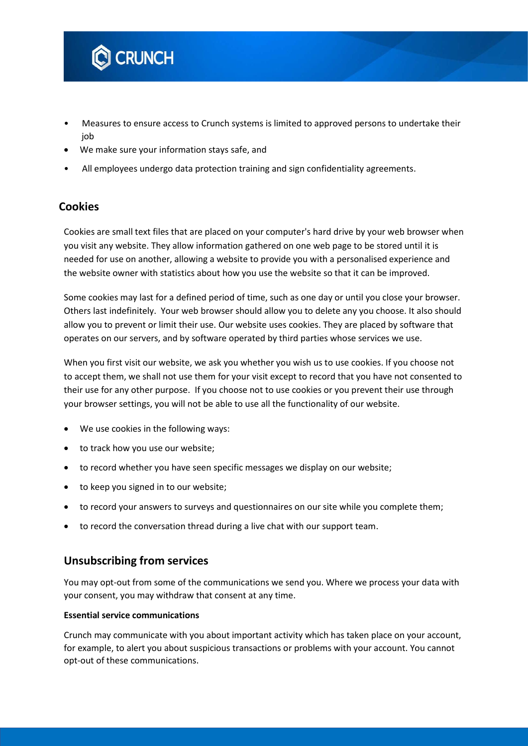

- Measures to ensure access to Crunch systems is limited to approved persons to undertake their job
- We make sure your information stays safe, and
- All employees undergo data protection training and sign confidentiality agreements.

## **Cookies**

Cookies are small text files that are placed on your computer's hard drive by your web browser when you visit any website. They allow information gathered on one web page to be stored until it is needed for use on another, allowing a website to provide you with a personalised experience and the website owner with statistics about how you use the website so that it can be improved.

Some cookies may last for a defined period of time, such as one day or until you close your browser. Others last indefinitely. Your web browser should allow you to delete any you choose. It also should allow you to prevent or limit their use. Our website uses cookies. They are placed by software that operates on our servers, and by software operated by third parties whose services we use.

When you first visit our website, we ask you whether you wish us to use cookies. If you choose not to accept them, we shall not use them for your visit except to record that you have not consented to their use for any other purpose. If you choose not to use cookies or you prevent their use through your browser settings, you will not be able to use all the functionality of our website.

- We use cookies in the following ways:
- to track how you use our website;
- to record whether you have seen specific messages we display on our website;
- to keep you signed in to our website;
- to record your answers to surveys and questionnaires on our site while you complete them;
- to record the conversation thread during a live chat with our support team.

#### **Unsubscribing from services**

You may opt-out from some of the communications we send you. Where we process your data with your consent, you may withdraw that consent at any time.

#### **Essential service communications**

Crunch may communicate with you about important activity which has taken place on your account, for example, to alert you about suspicious transactions or problems with your account. You cannot opt-out of these communications.